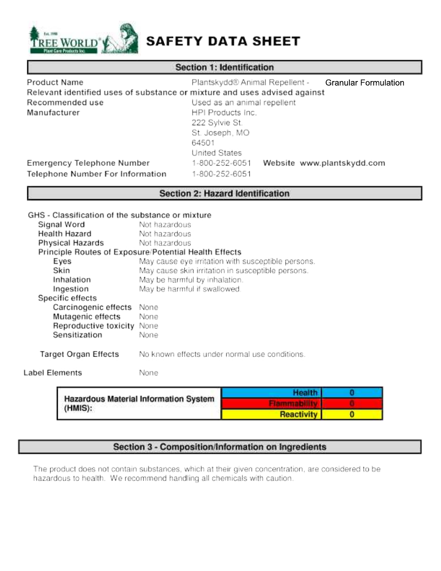

# SAFETY DATA SHEET

# **Section 1: Identification**

| Product Name                                                              | Plantskydd® Animal Repellent -<br><b>Granular Formulation</b> |
|---------------------------------------------------------------------------|---------------------------------------------------------------|
| Relevant identified uses of substance or mixture and uses advised against |                                                               |
| Recommended use                                                           | Used as an animal repellent                                   |
| Manufacturer                                                              | HPI Products Inc.                                             |
|                                                                           | 222 Sylvie St.                                                |
|                                                                           | St. Joseph, MO                                                |
|                                                                           | 64501                                                         |
|                                                                           | United States                                                 |
| Emergency Telephone Number                                                | 1-800-252-6051<br>Website www.plantskydd.com                  |
| Telephone Number For Information                                          | 1-800-252-6051                                                |

# **Section 2: Hazard Identification**

|                                                  | Health                                                |  |
|--------------------------------------------------|-------------------------------------------------------|--|
| Label Elements                                   | None                                                  |  |
| <b>Target Organ Effects</b>                      | No known effects under normal use conditions.         |  |
| Sensitization                                    | None                                                  |  |
| Reproductive toxicity None                       |                                                       |  |
| Mutagenic effects                                | None                                                  |  |
| Carcinogenic effects                             | None                                                  |  |
| Specific effects                                 |                                                       |  |
| Ingestion                                        | May be harmful if swallowed.                          |  |
| Inhalation                                       | May be harmful by inhalation.                         |  |
| Skin                                             | May cause skin irritation in susceptible persons.     |  |
| Eyes                                             | May cause eye irritation with susceptible persons.    |  |
|                                                  | Principle Routes of Exposure/Potential Health Effects |  |
| Physical Hazards                                 | Not hazardous                                         |  |
| Health Hazard                                    | Not hazardous                                         |  |
| Signal Word                                      | Not hazardous                                         |  |
| GHS - Classification of the substance or mixture |                                                       |  |
|                                                  |                                                       |  |

| <b>TREATUOUS MATCHER RITOIMAUVIL OYSTONE</b><br>(HMIS): |                   |  |  |
|---------------------------------------------------------|-------------------|--|--|
|                                                         | <b>Reactivity</b> |  |  |
|                                                         |                   |  |  |

# Section 3 - Composition/Information on Ingredients

The product does not contain substances, which at their given concentration, are considered to be hazardous to health. We recommend handling all chemicals with caution.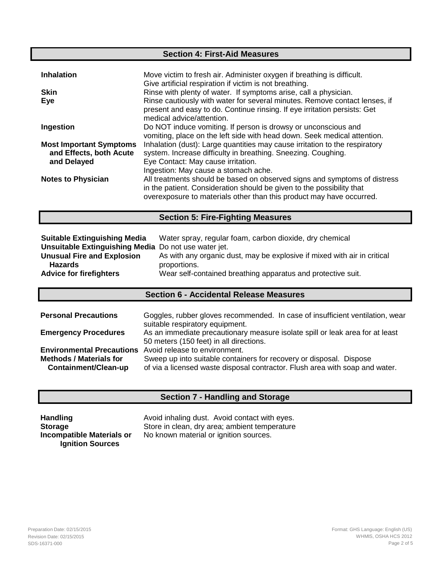## **Section 4: First-Aid Measures**

| <b>Inhalation</b>                                                        | Move victim to fresh air. Administer oxygen if breathing is difficult.<br>Give artificial respiration if victim is not breathing.                                                                                          |
|--------------------------------------------------------------------------|----------------------------------------------------------------------------------------------------------------------------------------------------------------------------------------------------------------------------|
| <b>Skin</b>                                                              | Rinse with plenty of water. If symptoms arise, call a physician.                                                                                                                                                           |
| Eye                                                                      | Rinse cautiously with water for several minutes. Remove contact lenses, if<br>present and easy to do. Continue rinsing. If eye irritation persists: Get<br>medical advice/attention.                                       |
| Ingestion                                                                | Do NOT induce vomiting. If person is drowsy or unconscious and<br>vomiting, place on the left side with head down. Seek medical attention.                                                                                 |
| <b>Most Important Symptoms</b><br>and Effects, both Acute<br>and Delayed | Inhalation (dust): Large quantities may cause irritation to the respiratory<br>system. Increase difficulty in breathing. Sneezing. Coughing.<br>Eye Contact: May cause irritation.<br>Ingestion: May cause a stomach ache. |
| <b>Notes to Physician</b>                                                | All treatments should be based on observed signs and symptoms of distress<br>in the patient. Consideration should be given to the possibility that<br>overexposure to materials other than this product may have occurred. |

#### **Section 5: Fire-Fighting Measures**

| <b>Suitable Extinguishing Media</b>                  | Water spray, regular foam, carbon dioxide, dry chemical                  |
|------------------------------------------------------|--------------------------------------------------------------------------|
| Unsuitable Extinguishing Media Do not use water jet. |                                                                          |
| <b>Unusual Fire and Explosion</b>                    | As with any organic dust, may be explosive if mixed with air in critical |
| <b>Hazards</b>                                       | proportions.                                                             |
| <b>Advice for firefighters</b>                       | Wear self-contained breathing apparatus and protective suit.             |

## **Section 6 - Accidental Release Measures**

| <b>Personal Precautions</b>                            | Goggles, rubber gloves recommended. In case of insufficient ventilation, wear<br>suitable respiratory equipment.                                    |
|--------------------------------------------------------|-----------------------------------------------------------------------------------------------------------------------------------------------------|
| <b>Emergency Procedures</b>                            | As an immediate precautionary measure isolate spill or leak area for at least<br>50 meters (150 feet) in all directions.                            |
| <b>Environmental Precautions</b>                       | Avoid release to environment.                                                                                                                       |
| <b>Methods / Materials for</b><br>Containment/Clean-up | Sweep up into suitable containers for recovery or disposal. Dispose<br>of via a licensed waste disposal contractor. Flush area with soap and water. |

# **Section 7 - Handling and Storage**

**Ignition Sources** 

Handling **Handling** Avoid inhaling dust. Avoid contact with eyes. **Storage Store in clean, dry area; ambient temperature Incompatible Materials or** No known material or ignition sources.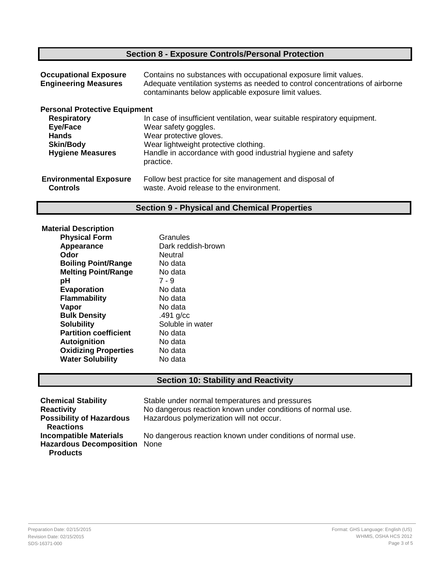# **Section 8 - Exposure Controls/Personal Protection**

| <b>Occupational Exposure</b><br><b>Engineering Measures</b> | Contains no substances with occupational exposure limit values.<br>Adequate ventilation systems as needed to control concentrations of airborne<br>contaminants below applicable exposure limit values. |
|-------------------------------------------------------------|---------------------------------------------------------------------------------------------------------------------------------------------------------------------------------------------------------|
| <b>Personal Protective Equipment</b>                        |                                                                                                                                                                                                         |
| <b>Respiratory</b>                                          | In case of insufficient ventilation, wear suitable respiratory equipment.                                                                                                                               |
| Eye/Face                                                    | Wear safety goggles.                                                                                                                                                                                    |
| <b>Hands</b>                                                | Wear protective gloves.                                                                                                                                                                                 |
| <b>Skin/Body</b>                                            | Wear lightweight protective clothing.                                                                                                                                                                   |
| <b>Hygiene Measures</b>                                     | Handle in accordance with good industrial hygiene and safety<br>practice.                                                                                                                               |
| <b>Environmental Exposure</b><br><b>Controls</b>            | Follow best practice for site management and disposal of<br>waste. Avoid release to the environment.                                                                                                    |

# **Section 9 - Physical and Chemical Properties**

| <b>Material Description</b>  |                    |
|------------------------------|--------------------|
| <b>Physical Form</b>         | Granules           |
| Appearance                   | Dark reddish-brown |
| Odor                         | Neutral            |
| <b>Boiling Point/Range</b>   | No data            |
| <b>Melting Point/Range</b>   | No data            |
| рH                           | $7 - 9$            |
| <b>Evaporation</b>           | No data            |
| Flammability                 | No data            |
| Vapor                        | No data            |
| <b>Bulk Density</b>          | $.491$ g/cc        |
| <b>Solubility</b>            | Soluble in water   |
| <b>Partition coefficient</b> | No data            |
| Autoignition                 | No data            |
| <b>Oxidizing Properties</b>  | No data            |
| <b>Water Solubility</b>      | No data            |
|                              |                    |

# **Section 10: Stability and Reactivity**

| <b>Chemical Stability</b><br><b>Reactivity</b>                                   | Stable under normal temperatures and pressures<br>No dangerous reaction known under conditions of normal use. |
|----------------------------------------------------------------------------------|---------------------------------------------------------------------------------------------------------------|
| <b>Possibility of Hazardous</b><br><b>Reactions</b>                              | Hazardous polymerization will not occur.                                                                      |
| <b>Incompatible Materials</b><br>Hazardous Decomposition None<br><b>Products</b> | No dangerous reaction known under conditions of normal use.                                                   |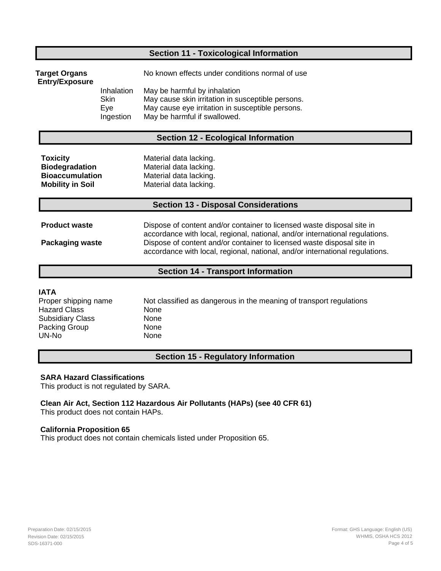# **Section 11 - Toxicological Information**

| Target Organs<br><b>Entry/Exposure</b> |                                               | No known effects under conditions normal of use                                                                                                                       |
|----------------------------------------|-----------------------------------------------|-----------------------------------------------------------------------------------------------------------------------------------------------------------------------|
|                                        | Inhalation<br><b>Skin</b><br>Eve<br>Ingestion | May be harmful by inhalation<br>May cause skin irritation in susceptible persons.<br>May cause eye irritation in susceptible persons.<br>May be harmful if swallowed. |

### **Section 12 - Ecological Information**

| <b>Toxicity</b>         | Material data lacking. |
|-------------------------|------------------------|
| <b>Biodegradation</b>   | Material data lacking. |
| <b>Bioaccumulation</b>  | Material data lacking. |
| <b>Mobility in Soil</b> | Material data lacking. |

#### **Section 13 - Disposal Considerations**

| <b>Product waste</b>   | Dispose of content and/or container to licensed waste disposal site in<br>accordance with local, regional, national, and/or international regulations. |
|------------------------|--------------------------------------------------------------------------------------------------------------------------------------------------------|
| <b>Packaging waste</b> | Dispose of content and/or container to licensed waste disposal site in<br>accordance with local, regional, national, and/or international regulations. |

#### **Section 14 - Transport Information**

#### **IATA**

| Proper shipping name    | Not classified as dangerous in the meaning of transport regulations |
|-------------------------|---------------------------------------------------------------------|
| <b>Hazard Class</b>     | None                                                                |
| <b>Subsidiary Class</b> | None                                                                |
| Packing Group           | None                                                                |
| UN-No                   | None                                                                |

#### **Section 15 - Regulatory Information**

#### **SARA Hazard Classifications**

This product is not regulated by SARA.

**Clean Air Act, Section 112 Hazardous Air Pollutants (HAPs) (see 40 CFR 61)**  This product does not contain HAPs.

#### **California Proposition 65**

This product does not contain chemicals listed under Proposition 65.